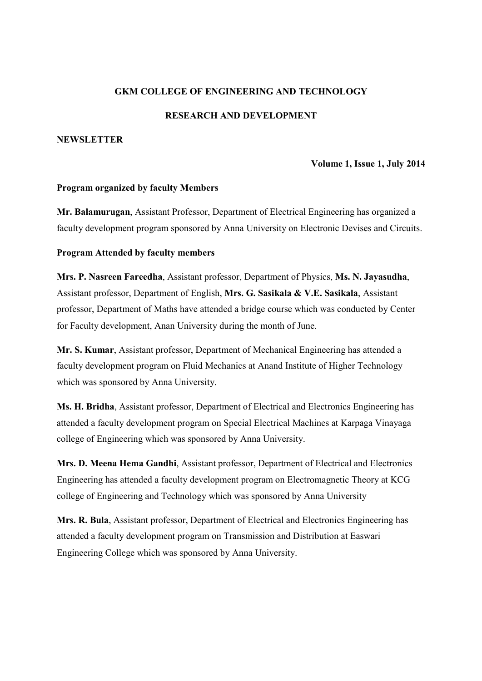## **GKM COLLEGE OF ENGINEERING AND TECHNOLOGY**

### **RESEARCH AND DEVELOPMENT**

### **NEWSLETTER**

#### **Volume 1, Issue 1, July 2014**

#### **Program organized by faculty Members**

**Mr. Balamurugan**, Assistant Professor, Department of Electrical Engineering has organized a faculty development program sponsored by Anna University on Electronic Devises and Circuits.

## **Program Attended by faculty members**

**Mrs. P. Nasreen Fareedha**, Assistant professor, Department of Physics, **Ms. N. Jayasudha**, Assistant professor, Department of English, **Mrs. G. Sasikala & V.E. Sasikala**, Assistant professor, Department of Maths have attended a bridge course which was conducted by Center for Faculty development, Anan University during the month of June.

**Mr. S. Kumar**, Assistant professor, Department of Mechanical Engineering has attended a faculty development program on Fluid Mechanics at Anand Institute of Higher Technology which was sponsored by Anna University.

**Ms. H. Bridha**, Assistant professor, Department of Electrical and Electronics Engineering has attended a faculty development program on Special Electrical Machines at Karpaga Vinayaga college of Engineering which was sponsored by Anna University.

**Mrs. D. Meena Hema Gandhi**, Assistant professor, Department of Electrical and Electronics Engineering has attended a faculty development program on Electromagnetic Theory at KCG college of Engineering and Technology which was sponsored by Anna University

**Mrs. R. Bula**, Assistant professor, Department of Electrical and Electronics Engineering has attended a faculty development program on Transmission and Distribution at Easwari Engineering College which was sponsored by Anna University.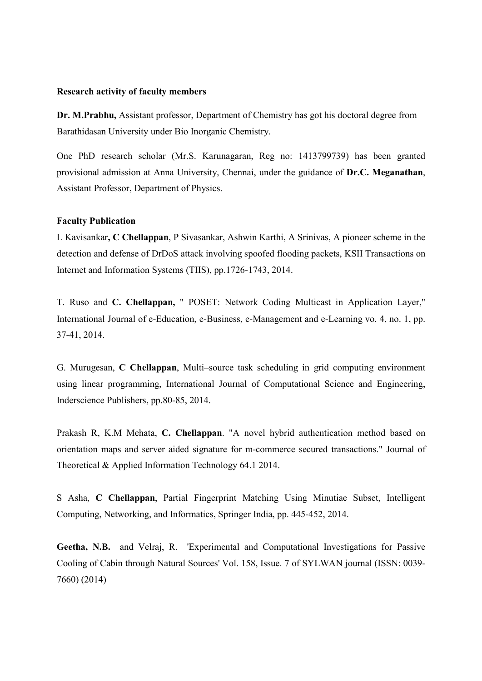#### **Research activity of faculty members**

**Dr. M.Prabhu,** Assistant professor, Department of Chemistry has got his doctoral degree from Barathidasan University under Bio Inorganic Chemistry.

One PhD research scholar (Mr.S. Karunagaran, Reg no: 1413799739) has been granted provisional admission at Anna University, Chennai, under the guidance of **Dr.C. Meganathan**, Assistant Professor, Department of Physics.

#### **Faculty Publication**

L Kavisankar**, C Chellappan**, P Sivasankar, Ashwin Karthi, A Srinivas, A pioneer scheme in the detection and defense of DrDoS attack involving spoofed flooding packets, KSII Transactions on Internet and Information Systems (TIIS), pp.1726-1743, 2014.

T. Ruso and **C. Chellappan,** " POSET: Network Coding Multicast in Application Layer," International Journal of e-Education, e-Business, e-Management and e-Learning vo. 4, no. 1, pp. 37-41, 2014.

G. Murugesan, **C Chellappan**, Multi–source task scheduling in grid computing environment using linear programming, International Journal of Computational Science and Engineering, Inderscience Publishers, pp.80-85, 2014.

Prakash R, K.M Mehata, **C. Chellappan**. "A novel hybrid authentication method based on orientation maps and server aided signature for m-commerce secured transactions." Journal of Theoretical & Applied Information Technology 64.1 2014.

S Asha, **C Chellappan**, Partial Fingerprint Matching Using Minutiae Subset, Intelligent Computing, Networking, and Informatics, Springer India, pp. 445-452, 2014.

**Geetha, N.B.** and Velraj, R. 'Experimental and Computational Investigations for Passive Cooling of Cabin through Natural Sources' Vol. 158, Issue. 7 of SYLWAN journal (ISSN: 0039- 7660) (2014)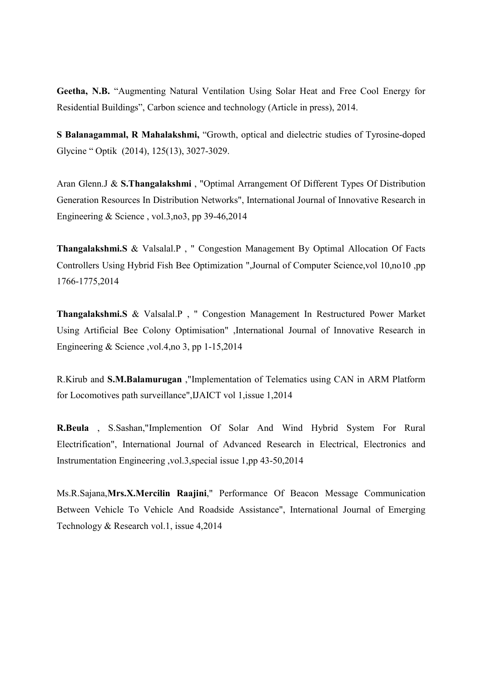**Geetha, N.B.** "Augmenting Natural Ventilation Using Solar Heat and Free Cool Energy for Residential Buildings", Carbon science and technology (Article in press), 2014.

**S Balanagammal, R Mahalakshmi,** "Growth, optical and dielectric studies of Tyrosine-doped Glycine " Optik (2014), 125(13), 3027-3029.

Aran Glenn.J & **S.Thangalakshmi** , "Optimal Arrangement Of Different Types Of Distribution Generation Resources In Distribution Networks", International Journal of Innovative Research in Engineering  $&$  Science, vol.3, no3, pp 39-46, 2014

**Thangalakshmi.S** & Valsalal.P , " Congestion Management By Optimal Allocation Of Facts Controllers Using Hybrid Fish Bee Optimization ",Journal of Computer Science,vol 10,no10 ,pp 1766-1775,2014

**Thangalakshmi.S** & Valsalal.P , " Congestion Management In Restructured Power Market Using Artificial Bee Colony Optimisation" ,International Journal of Innovative Research in Engineering & Science ,vol.4,no 3, pp 1-15,2014

R.Kirub and **S.M.Balamurugan** ,"Implementation of Telematics using CAN in ARM Platform for Locomotives path surveillance",IJAICT vol 1,issue 1,2014

**R.Beula** , S.Sashan,"Implemention Of Solar And Wind Hybrid System For Rural Electrification", International Journal of Advanced Research in Electrical, Electronics and Instrumentation Engineering ,vol.3,special issue 1,pp 43-50,2014

Ms.R.Sajana,**Mrs.X.Mercilin Raajini**," Performance Of Beacon Message Communication Between Vehicle To Vehicle And Roadside Assistance", International Journal of Emerging Technology & Research vol.1, issue 4,2014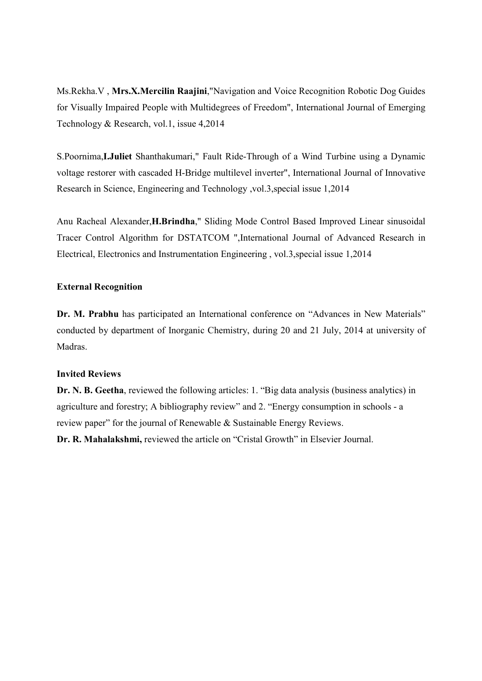Ms.Rekha.V , **Mrs.X.Mercilin Raajini**,"Navigation and Voice Recognition Robotic Dog Guides for Visually Impaired People with Multidegrees of Freedom", International Journal of Emerging Technology & Research, vol.1, issue 4,2014

S.Poornima,**I.Juliet** Shanthakumari," Fault Ride-Through of a Wind Turbine using a Dynamic voltage restorer with cascaded H-Bridge multilevel inverter", International Journal of Innovative Research in Science, Engineering and Technology ,vol.3,special issue 1,2014

Anu Racheal Alexander,**H.Brindha**," Sliding Mode Control Based Improved Linear sinusoidal Tracer Control Algorithm for DSTATCOM ",International Journal of Advanced Research in Electrical, Electronics and Instrumentation Engineering , vol.3,special issue 1,2014

## **External Recognition**

**Dr. M. Prabhu** has participated an International conference on "Advances in New Materials" conducted by department of Inorganic Chemistry, during 20 and 21 July, 2014 at university of Madras.

## **Invited Reviews**

**Dr. N. B. Geetha**, reviewed the following articles: 1. "Big data analysis (business analytics) in agriculture and forestry; A bibliography review" and 2. "Energy consumption in schools - a review paper" for the journal of Renewable & Sustainable Energy Reviews.

**Dr. R. Mahalakshmi,** reviewed the article on "Cristal Growth" in Elsevier Journal.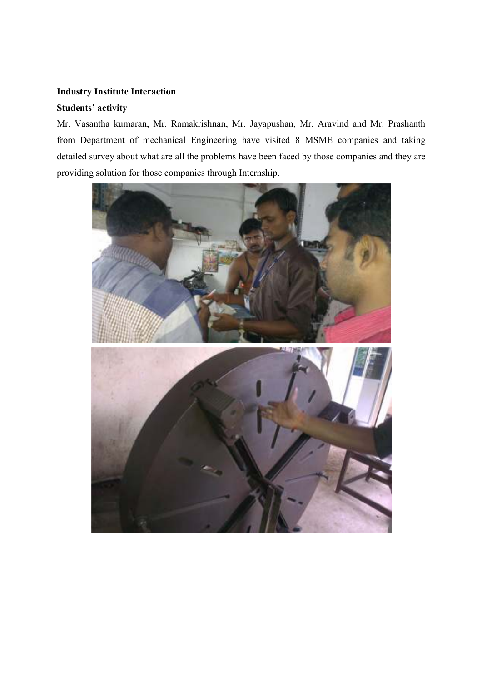# **Industry Institute Interaction**

### **Students' activity**

Mr. Vasantha kumaran, Mr. Ramakrishnan, Mr. Jayapushan, Mr. Aravind and Mr. Prashanth from Department of mechanical Engineering have visited 8 MSME companies and taking detailed survey about what are all the problems have been faced by those companies and they are providing solution for those companies through Internship.

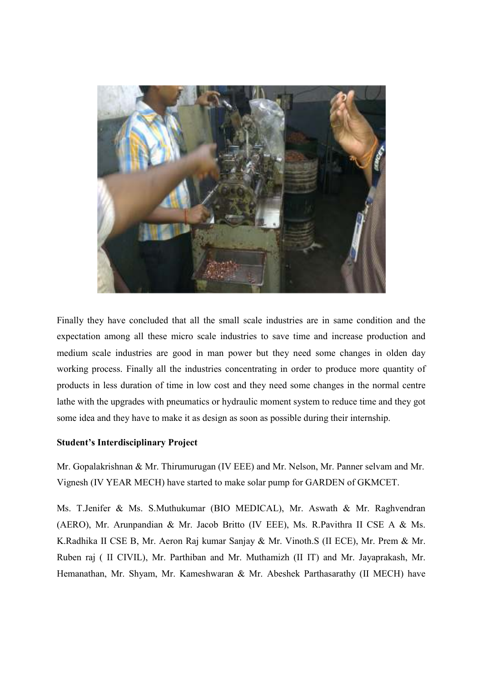

Finally they have concluded that all the small scale industries are in same condition and the expectation among all these micro scale industries to save time and increase production and medium scale industries are good in man power but they need some changes in olden day working process. Finally all the industries concentrating in order to produce more quantity of products in less duration of time in low cost and they need some changes in the normal centre lathe with the upgrades with pneumatics or hydraulic moment system to reduce time and they got some idea and they have to make it as design as soon as possible during their internship.

## **Student's Interdisciplinary Project**

Mr. Gopalakrishnan & Mr. Thirumurugan (IV EEE) and Mr. Nelson, Mr. Panner selvam and Mr. Vignesh (IV YEAR MECH) have started to make solar pump for GARDEN of GKMCET.

Ms. T.Jenifer & Ms. S.Muthukumar (BIO MEDICAL), Mr. Aswath & Mr. Raghvendran (AERO), Mr. Arunpandian & Mr. Jacob Britto (IV EEE), Ms. R.Pavithra II CSE A & Ms. K.Radhika II CSE B, Mr. Aeron Raj kumar Sanjay & Mr. Vinoth.S (II ECE), Mr. Prem & Mr. Ruben raj ( II CIVIL), Mr. Parthiban and Mr. Muthamizh (II IT) and Mr. Jayaprakash, Mr. Hemanathan, Mr. Shyam, Mr. Kameshwaran & Mr. Abeshek Parthasarathy (II MECH) have